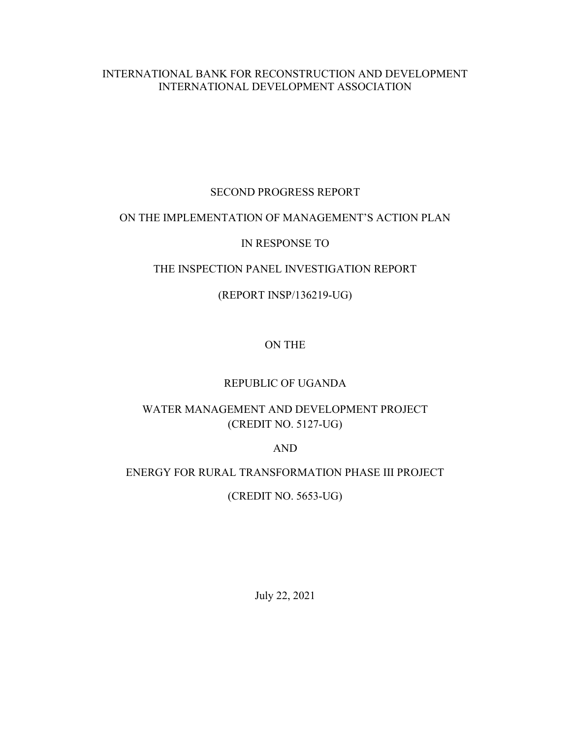## INTERNATIONAL BANK FOR RECONSTRUCTION AND DEVELOPMENT INTERNATIONAL DEVELOPMENT ASSOCIATION

## SECOND PROGRESS REPORT

## ON THE IMPLEMENTATION OF MANAGEMENT'S ACTION PLAN

## IN RESPONSE TO

## THE INSPECTION PANEL INVESTIGATION REPORT

## (REPORT INSP/136219-UG)

# ON THE

## REPUBLIC OF UGANDA

# WATER MANAGEMENT AND DEVELOPMENT PROJECT (CREDIT NO. 5127-UG)

## AND

# ENERGY FOR RURAL TRANSFORMATION PHASE III PROJECT

# (CREDIT NO. 5653-UG)

July 22, 2021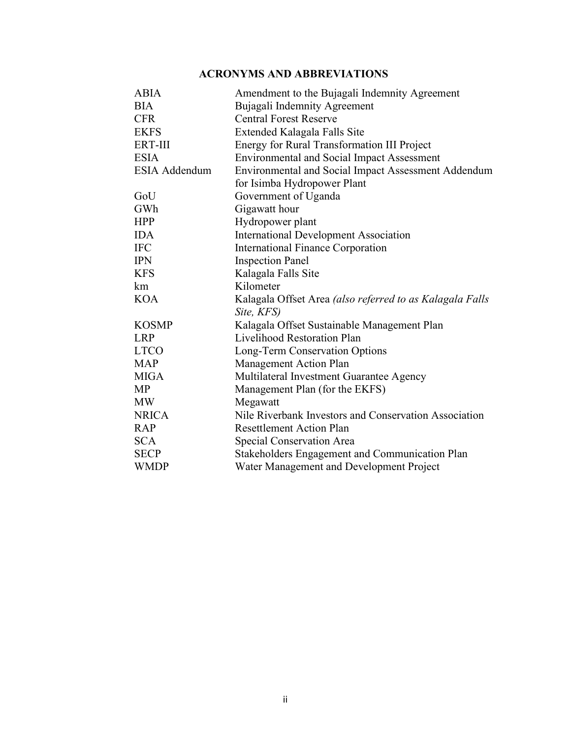# ACRONYMS AND ABBREVIATIONS

| <b>ABIA</b>          | Amendment to the Bujagali Indemnity Agreement              |
|----------------------|------------------------------------------------------------|
| <b>BIA</b>           | Bujagali Indemnity Agreement                               |
| <b>CFR</b>           | <b>Central Forest Reserve</b>                              |
| <b>EKFS</b>          | Extended Kalagala Falls Site                               |
| <b>ERT-III</b>       | Energy for Rural Transformation III Project                |
| <b>ESIA</b>          | <b>Environmental and Social Impact Assessment</b>          |
| <b>ESIA Addendum</b> | <b>Environmental and Social Impact Assessment Addendum</b> |
|                      | for Isimba Hydropower Plant                                |
| GoU                  | Government of Uganda                                       |
| GWh                  | Gigawatt hour                                              |
| <b>HPP</b>           | Hydropower plant                                           |
| <b>IDA</b>           | <b>International Development Association</b>               |
| <b>IFC</b>           | <b>International Finance Corporation</b>                   |
| <b>IPN</b>           | <b>Inspection Panel</b>                                    |
| <b>KFS</b>           | Kalagala Falls Site                                        |
| km                   | Kilometer                                                  |
| <b>KOA</b>           | Kalagala Offset Area (also referred to as Kalagala Falls   |
|                      | Site, KFS)                                                 |
| <b>KOSMP</b>         | Kalagala Offset Sustainable Management Plan                |
| <b>LRP</b>           | Livelihood Restoration Plan                                |
| <b>LTCO</b>          | Long-Term Conservation Options                             |
| <b>MAP</b>           | Management Action Plan                                     |
| <b>MIGA</b>          | Multilateral Investment Guarantee Agency                   |
| <b>MP</b>            | Management Plan (for the EKFS)                             |
| <b>MW</b>            | Megawatt                                                   |
| <b>NRICA</b>         | Nile Riverbank Investors and Conservation Association      |
| <b>RAP</b>           | <b>Resettlement Action Plan</b>                            |
| <b>SCA</b>           | Special Conservation Area                                  |
| <b>SECP</b>          | Stakeholders Engagement and Communication Plan             |
| <b>WMDP</b>          | Water Management and Development Project                   |
|                      |                                                            |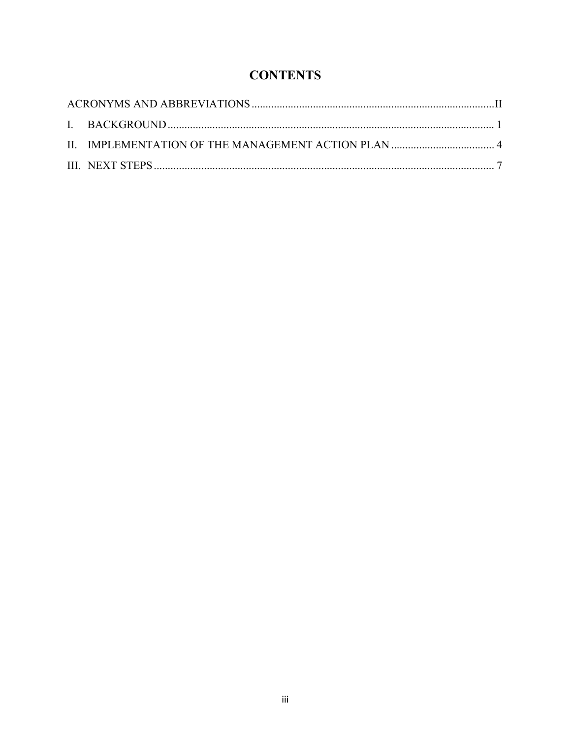# **CONTENTS**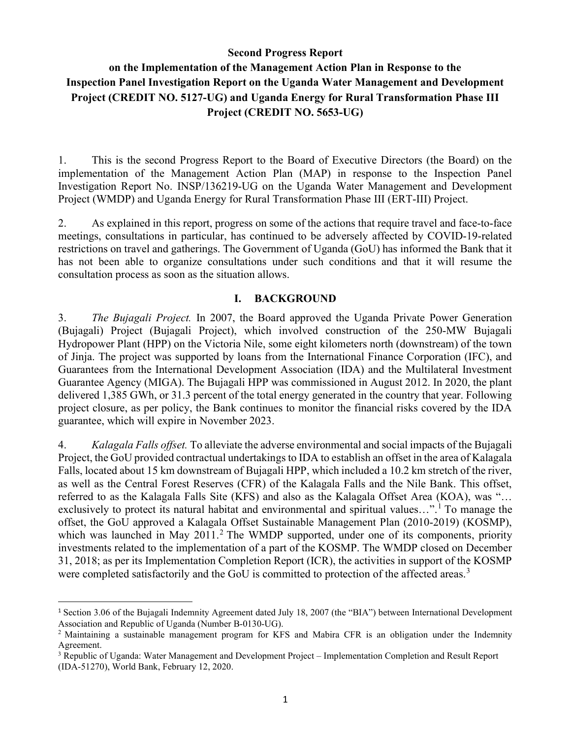### Second Progress Report

# on the Implementation of the Management Action Plan in Response to the Inspection Panel Investigation Report on the Uganda Water Management and Development Project (CREDIT NO. 5127-UG) and Uganda Energy for Rural Transformation Phase III Project (CREDIT NO. 5653-UG)

1. This is the second Progress Report to the Board of Executive Directors (the Board) on the implementation of the Management Action Plan (MAP) in response to the Inspection Panel Investigation Report No. INSP/136219-UG on the Uganda Water Management and Development Project (WMDP) and Uganda Energy for Rural Transformation Phase III (ERT-III) Project.

2. As explained in this report, progress on some of the actions that require travel and face-to-face meetings, consultations in particular, has continued to be adversely affected by COVID-19-related restrictions on travel and gatherings. The Government of Uganda (GoU) has informed the Bank that it has not been able to organize consultations under such conditions and that it will resume the consultation process as soon as the situation allows.

#### I. BACKGROUND

3. The Bujagali Project. In 2007, the Board approved the Uganda Private Power Generation (Bujagali) Project (Bujagali Project), which involved construction of the 250-MW Bujagali Hydropower Plant (HPP) on the Victoria Nile, some eight kilometers north (downstream) of the town of Jinja. The project was supported by loans from the International Finance Corporation (IFC), and Guarantees from the International Development Association (IDA) and the Multilateral Investment Guarantee Agency (MIGA). The Bujagali HPP was commissioned in August 2012. In 2020, the plant delivered 1,385 GWh, or 31.3 percent of the total energy generated in the country that year. Following project closure, as per policy, the Bank continues to monitor the financial risks covered by the IDA guarantee, which will expire in November 2023.

4. Kalagala Falls offset. To alleviate the adverse environmental and social impacts of the Bujagali Project, the GoU provided contractual undertakings to IDA to establish an offset in the area of Kalagala Falls, located about 15 km downstream of Bujagali HPP, which included a 10.2 km stretch of the river, as well as the Central Forest Reserves (CFR) of the Kalagala Falls and the Nile Bank. This offset, referred to as the Kalagala Falls Site (KFS) and also as the Kalagala Offset Area (KOA), was "… exclusively to protect its natural habitat and environmental and spiritual values...".<sup>1</sup> To manage the offset, the GoU approved a Kalagala Offset Sustainable Management Plan (2010-2019) (KOSMP), which was launched in May 2011.<sup>2</sup> The WMDP supported, under one of its components, priority investments related to the implementation of a part of the KOSMP. The WMDP closed on December 31, 2018; as per its Implementation Completion Report (ICR), the activities in support of the KOSMP were completed satisfactorily and the GoU is committed to protection of the affected areas.<sup>3</sup>

<sup>1</sup> Section 3.06 of the Bujagali Indemnity Agreement dated July 18, 2007 (the "BIA") between International Development Association and Republic of Uganda (Number B-0130-UG).

<sup>&</sup>lt;sup>2</sup> Maintaining a sustainable management program for KFS and Mabira CFR is an obligation under the Indemnity Agreement.

<sup>&</sup>lt;sup>3</sup> Republic of Uganda: Water Management and Development Project – Implementation Completion and Result Report (IDA-51270), World Bank, February 12, 2020.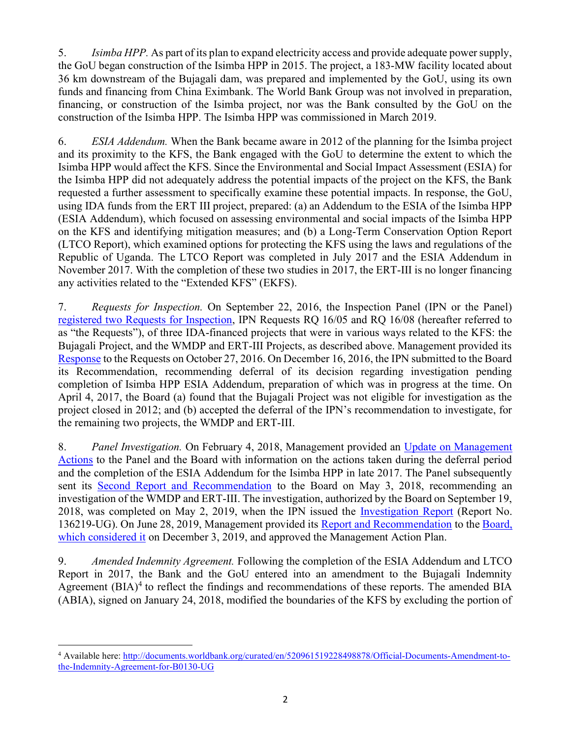5. Isimba HPP. As part of its plan to expand electricity access and provide adequate power supply, the GoU began construction of the Isimba HPP in 2015. The project, a 183-MW facility located about 36 km downstream of the Bujagali dam, was prepared and implemented by the GoU, using its own funds and financing from China Eximbank. The World Bank Group was not involved in preparation, financing, or construction of the Isimba project, nor was the Bank consulted by the GoU on the construction of the Isimba HPP. The Isimba HPP was commissioned in March 2019.

6. ESIA Addendum. When the Bank became aware in 2012 of the planning for the Isimba project and its proximity to the KFS, the Bank engaged with the GoU to determine the extent to which the Isimba HPP would affect the KFS. Since the Environmental and Social Impact Assessment (ESIA) for the Isimba HPP did not adequately address the potential impacts of the project on the KFS, the Bank requested a further assessment to specifically examine these potential impacts. In response, the GoU, using IDA funds from the ERT III project, prepared: (a) an Addendum to the ESIA of the Isimba HPP (ESIA Addendum), which focused on assessing environmental and social impacts of the Isimba HPP on the KFS and identifying mitigation measures; and (b) a Long-Term Conservation Option Report (LTCO Report), which examined options for protecting the KFS using the laws and regulations of the Republic of Uganda. The LTCO Report was completed in July 2017 and the ESIA Addendum in November 2017. With the completion of these two studies in 2017, the ERT-III is no longer financing any activities related to the "Extended KFS" (EKFS).

7. Requests for Inspection. On September 22, 2016, the Inspection Panel (IPN or the Panel) registered two Requests for Inspection, IPN Requests RQ 16/05 and RQ 16/08 (hereafter referred to as "the Requests"), of three IDA-financed projects that were in various ways related to the KFS: the Bujagali Project, and the WMDP and ERT-III Projects, as described above. Management provided its Response to the Requests on October 27, 2016. On December 16, 2016, the IPN submitted to the Board its Recommendation, recommending deferral of its decision regarding investigation pending completion of Isimba HPP ESIA Addendum, preparation of which was in progress at the time. On April 4, 2017, the Board (a) found that the Bujagali Project was not eligible for investigation as the project closed in 2012; and (b) accepted the deferral of the IPN's recommendation to investigate, for the remaining two projects, the WMDP and ERT-III.

8. Panel Investigation. On February 4, 2018, Management provided an Update on Management Actions to the Panel and the Board with information on the actions taken during the deferral period and the completion of the ESIA Addendum for the Isimba HPP in late 2017. The Panel subsequently sent its Second Report and Recommendation to the Board on May 3, 2018, recommending an investigation of the WMDP and ERT-III. The investigation, authorized by the Board on September 19, 2018, was completed on May 2, 2019, when the IPN issued the *Investigation Report* (Report No. 136219-UG). On June 28, 2019, Management provided its Report and Recommendation to the Board, which considered it on December 3, 2019, and approved the Management Action Plan.

9. Amended Indemnity Agreement. Following the completion of the ESIA Addendum and LTCO Report in 2017, the Bank and the GoU entered into an amendment to the Bujagali Indemnity Agreement  $(BIA)^4$  to reflect the findings and recommendations of these reports. The amended BIA (ABIA), signed on January 24, 2018, modified the boundaries of the KFS by excluding the portion of

<sup>&</sup>lt;sup>4</sup> Available here: http://documents.worldbank.org/curated/en/520961519228498878/Official-Documents-Amendment-tothe-Indemnity-Agreement-for-B0130-UG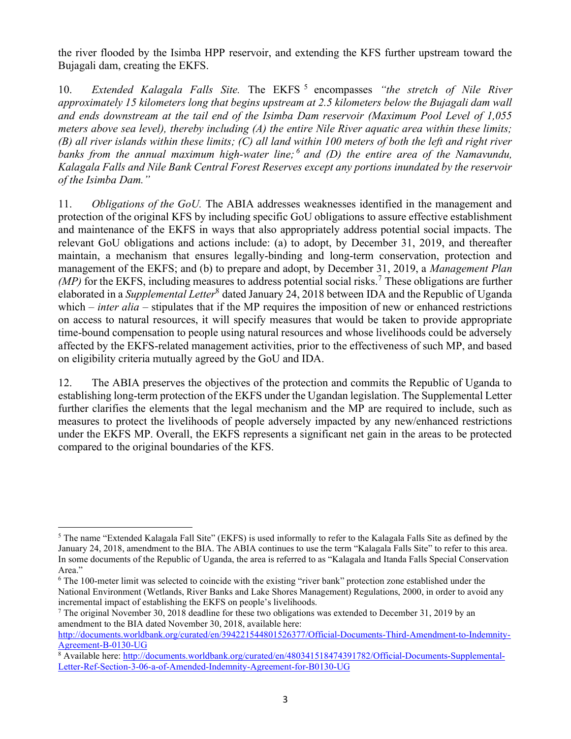the river flooded by the Isimba HPP reservoir, and extending the KFS further upstream toward the Bujagali dam, creating the EKFS.

10. Extended Kalagala Falls Site. The EKFS<sup>5</sup> encompasses "the stretch of Nile River approximately 15 kilometers long that begins upstream at 2.5 kilometers below the Bujagali dam wall and ends downstream at the tail end of the Isimba Dam reservoir (Maximum Pool Level of 1,055 meters above sea level), thereby including  $(A)$  the entire Nile River aquatic area within these limits; (B) all river islands within these limits; (C) all land within 100 meters of both the left and right river banks from the annual maximum high-water line;  $^6$  and (D) the entire area of the Namavundu, Kalagala Falls and Nile Bank Central Forest Reserves except any portions inundated by the reservoir of the Isimba Dam."

11. *Obligations of the GoU*. The ABIA addresses weaknesses identified in the management and protection of the original KFS by including specific GoU obligations to assure effective establishment and maintenance of the EKFS in ways that also appropriately address potential social impacts. The relevant GoU obligations and actions include: (a) to adopt, by December 31, 2019, and thereafter maintain, a mechanism that ensures legally-binding and long-term conservation, protection and management of the EKFS; and (b) to prepare and adopt, by December 31, 2019, a Management Plan  $(MP)$  for the EKFS, including measures to address potential social risks.<sup>7</sup> These obligations are further elaborated in a *Supplemental Letter*<sup>8</sup> dated January 24, 2018 between IDA and the Republic of Uganda which – *inter alia* – stipulates that if the MP requires the imposition of new or enhanced restrictions on access to natural resources, it will specify measures that would be taken to provide appropriate time-bound compensation to people using natural resources and whose livelihoods could be adversely affected by the EKFS-related management activities, prior to the effectiveness of such MP, and based on eligibility criteria mutually agreed by the GoU and IDA.

12. The ABIA preserves the objectives of the protection and commits the Republic of Uganda to establishing long-term protection of the EKFS under the Ugandan legislation. The Supplemental Letter further clarifies the elements that the legal mechanism and the MP are required to include, such as measures to protect the livelihoods of people adversely impacted by any new/enhanced restrictions under the EKFS MP. Overall, the EKFS represents a significant net gain in the areas to be protected compared to the original boundaries of the KFS.

 $5$  The name "Extended Kalagala Fall Site" (EKFS) is used informally to refer to the Kalagala Falls Site as defined by the January 24, 2018, amendment to the BIA. The ABIA continues to use the term "Kalagala Falls Site" to refer to this area. In some documents of the Republic of Uganda, the area is referred to as "Kalagala and Itanda Falls Special Conservation Area."

<sup>&</sup>lt;sup>6</sup> The 100-meter limit was selected to coincide with the existing "river bank" protection zone established under the National Environment (Wetlands, River Banks and Lake Shores Management) Regulations, 2000, in order to avoid any incremental impact of establishing the EKFS on people's livelihoods.

<sup>&</sup>lt;sup>7</sup> The original November 30, 2018 deadline for these two obligations was extended to December 31, 2019 by an amendment to the BIA dated November 30, 2018, available here:

http://documents.worldbank.org/curated/en/394221544801526377/Official-Documents-Third-Amendment-to-Indemnity-Agreement-B-0130-UG

<sup>&</sup>lt;sup>8</sup> Available here: http://documents.worldbank.org/curated/en/480341518474391782/Official-Documents-Supplemental-Letter-Ref-Section-3-06-a-of-Amended-Indemnity-Agreement-for-B0130-UG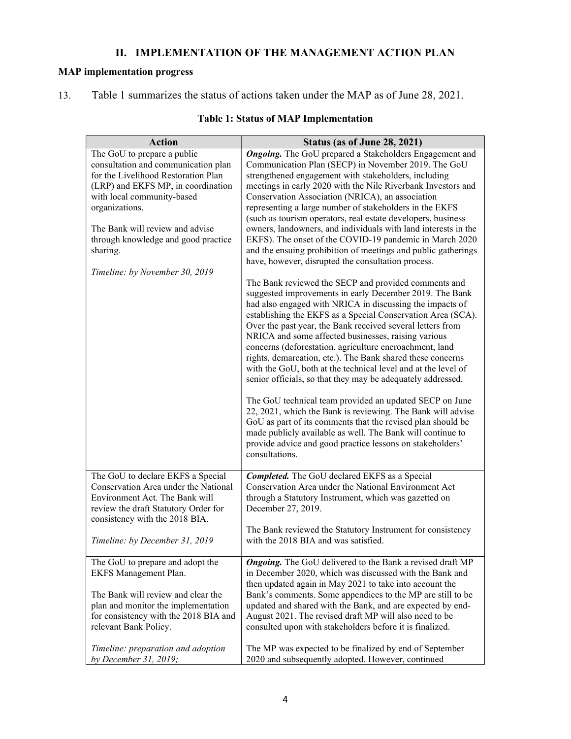# II. IMPLEMENTATION OF THE MANAGEMENT ACTION PLAN

## MAP implementation progress

13. Table 1 summarizes the status of actions taken under the MAP as of June 28, 2021.

| <b>Action</b>                                             | Status (as of June 28, 2021)                                                                                                   |
|-----------------------------------------------------------|--------------------------------------------------------------------------------------------------------------------------------|
| The GoU to prepare a public                               | <b>Ongoing.</b> The GoU prepared a Stakeholders Engagement and                                                                 |
| consultation and communication plan                       | Communication Plan (SECP) in November 2019. The GoU                                                                            |
| for the Livelihood Restoration Plan                       | strengthened engagement with stakeholders, including                                                                           |
| (LRP) and EKFS MP, in coordination                        | meetings in early 2020 with the Nile Riverbank Investors and                                                                   |
| with local community-based                                | Conservation Association (NRICA), an association                                                                               |
| organizations.                                            | representing a large number of stakeholders in the EKFS                                                                        |
| The Bank will review and advise                           | (such as tourism operators, real estate developers, business<br>owners, landowners, and individuals with land interests in the |
| through knowledge and good practice                       | EKFS). The onset of the COVID-19 pandemic in March 2020                                                                        |
| sharing.                                                  | and the ensuing prohibition of meetings and public gatherings                                                                  |
|                                                           | have, however, disrupted the consultation process.                                                                             |
| Timeline: by November 30, 2019                            |                                                                                                                                |
|                                                           | The Bank reviewed the SECP and provided comments and                                                                           |
|                                                           | suggested improvements in early December 2019. The Bank                                                                        |
|                                                           | had also engaged with NRICA in discussing the impacts of                                                                       |
|                                                           | establishing the EKFS as a Special Conservation Area (SCA).                                                                    |
|                                                           | Over the past year, the Bank received several letters from                                                                     |
|                                                           | NRICA and some affected businesses, raising various<br>concerns (deforestation, agriculture encroachment, land                 |
|                                                           | rights, demarcation, etc.). The Bank shared these concerns                                                                     |
|                                                           | with the GoU, both at the technical level and at the level of                                                                  |
|                                                           | senior officials, so that they may be adequately addressed.                                                                    |
|                                                           |                                                                                                                                |
|                                                           | The GoU technical team provided an updated SECP on June                                                                        |
|                                                           | 22, 2021, which the Bank is reviewing. The Bank will advise                                                                    |
|                                                           | GoU as part of its comments that the revised plan should be                                                                    |
|                                                           | made publicly available as well. The Bank will continue to                                                                     |
|                                                           | provide advice and good practice lessons on stakeholders'<br>consultations.                                                    |
|                                                           |                                                                                                                                |
| The GoU to declare EKFS a Special                         | <b>Completed.</b> The GoU declared EKFS as a Special                                                                           |
| Conservation Area under the National                      | Conservation Area under the National Environment Act                                                                           |
| Environment Act. The Bank will                            | through a Statutory Instrument, which was gazetted on                                                                          |
| review the draft Statutory Order for                      | December 27, 2019.                                                                                                             |
| consistency with the 2018 BIA.                            |                                                                                                                                |
|                                                           | The Bank reviewed the Statutory Instrument for consistency                                                                     |
| Timeline: by December 31, 2019                            | with the 2018 BIA and was satisfied.                                                                                           |
|                                                           | <b>Ongoing.</b> The GoU delivered to the Bank a revised draft MP                                                               |
| The GoU to prepare and adopt the<br>EKFS Management Plan. | in December 2020, which was discussed with the Bank and                                                                        |
|                                                           | then updated again in May 2021 to take into account the                                                                        |
| The Bank will review and clear the                        | Bank's comments. Some appendices to the MP are still to be                                                                     |
| plan and monitor the implementation                       | updated and shared with the Bank, and are expected by end-                                                                     |
| for consistency with the 2018 BIA and                     | August 2021. The revised draft MP will also need to be                                                                         |
| relevant Bank Policy.                                     | consulted upon with stakeholders before it is finalized.                                                                       |
|                                                           |                                                                                                                                |
| Timeline: preparation and adoption                        | The MP was expected to be finalized by end of September                                                                        |
| by December 31, 2019;                                     | 2020 and subsequently adopted. However, continued                                                                              |

## Table 1: Status of MAP Implementation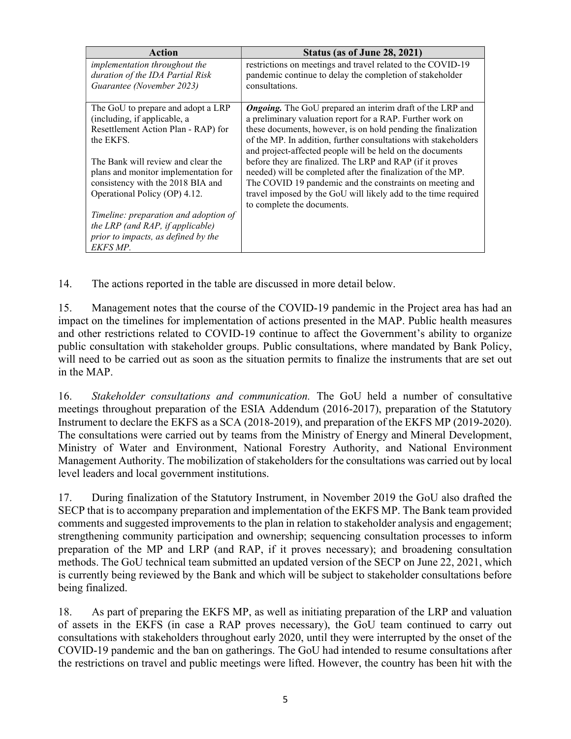| Action                                | Status (as of June 28, 2021)                                     |
|---------------------------------------|------------------------------------------------------------------|
| <i>implementation throughout the</i>  | restrictions on meetings and travel related to the COVID-19      |
| duration of the IDA Partial Risk      | pandemic continue to delay the completion of stakeholder         |
| Guarantee (November 2023)             | consultations.                                                   |
|                                       |                                                                  |
| The GoU to prepare and adopt a LRP    | <b>Ongoing.</b> The GoU prepared an interim draft of the LRP and |
| (including, if applicable, a          | a preliminary valuation report for a RAP. Further work on        |
| Resettlement Action Plan - RAP) for   | these documents, however, is on hold pending the finalization    |
| the EKFS.                             | of the MP. In addition, further consultations with stakeholders  |
|                                       | and project-affected people will be held on the documents        |
| The Bank will review and clear the    | before they are finalized. The LRP and RAP (if it proves         |
| plans and monitor implementation for  | needed) will be completed after the finalization of the MP.      |
| consistency with the 2018 BIA and     | The COVID 19 pandemic and the constraints on meeting and         |
| Operational Policy (OP) 4.12.         | travel imposed by the GoU will likely add to the time required   |
|                                       | to complete the documents.                                       |
| Timeline: preparation and adoption of |                                                                  |
| the LRP (and RAP, if applicable)      |                                                                  |
| prior to impacts, as defined by the   |                                                                  |
| EKFS MP.                              |                                                                  |

14. The actions reported in the table are discussed in more detail below.

15. Management notes that the course of the COVID-19 pandemic in the Project area has had an impact on the timelines for implementation of actions presented in the MAP. Public health measures and other restrictions related to COVID-19 continue to affect the Government's ability to organize public consultation with stakeholder groups. Public consultations, where mandated by Bank Policy, will need to be carried out as soon as the situation permits to finalize the instruments that are set out in the MAP.

16. Stakeholder consultations and communication. The GoU held a number of consultative meetings throughout preparation of the ESIA Addendum (2016-2017), preparation of the Statutory Instrument to declare the EKFS as a SCA (2018-2019), and preparation of the EKFS MP (2019-2020). The consultations were carried out by teams from the Ministry of Energy and Mineral Development, Ministry of Water and Environment, National Forestry Authority, and National Environment Management Authority. The mobilization of stakeholders for the consultations was carried out by local level leaders and local government institutions.

17. During finalization of the Statutory Instrument, in November 2019 the GoU also drafted the SECP that is to accompany preparation and implementation of the EKFS MP. The Bank team provided comments and suggested improvements to the plan in relation to stakeholder analysis and engagement; strengthening community participation and ownership; sequencing consultation processes to inform preparation of the MP and LRP (and RAP, if it proves necessary); and broadening consultation methods. The GoU technical team submitted an updated version of the SECP on June 22, 2021, which is currently being reviewed by the Bank and which will be subject to stakeholder consultations before being finalized.

18. As part of preparing the EKFS MP, as well as initiating preparation of the LRP and valuation of assets in the EKFS (in case a RAP proves necessary), the GoU team continued to carry out consultations with stakeholders throughout early 2020, until they were interrupted by the onset of the COVID-19 pandemic and the ban on gatherings. The GoU had intended to resume consultations after the restrictions on travel and public meetings were lifted. However, the country has been hit with the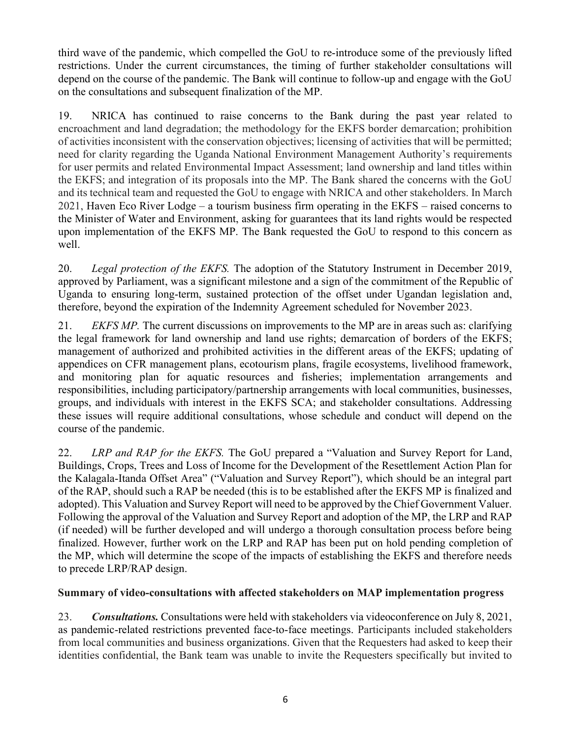third wave of the pandemic, which compelled the GoU to re-introduce some of the previously lifted restrictions. Under the current circumstances, the timing of further stakeholder consultations will depend on the course of the pandemic. The Bank will continue to follow-up and engage with the GoU on the consultations and subsequent finalization of the MP.

19. NRICA has continued to raise concerns to the Bank during the past year related to encroachment and land degradation; the methodology for the EKFS border demarcation; prohibition of activities inconsistent with the conservation objectives; licensing of activities that will be permitted; need for clarity regarding the Uganda National Environment Management Authority's requirements for user permits and related Environmental Impact Assessment; land ownership and land titles within the EKFS; and integration of its proposals into the MP. The Bank shared the concerns with the GoU and its technical team and requested the GoU to engage with NRICA and other stakeholders. In March 2021, Haven Eco River Lodge – a tourism business firm operating in the EKFS – raised concerns to the Minister of Water and Environment, asking for guarantees that its land rights would be respected upon implementation of the EKFS MP. The Bank requested the GoU to respond to this concern as well.

20. Legal protection of the EKFS. The adoption of the Statutory Instrument in December 2019, approved by Parliament, was a significant milestone and a sign of the commitment of the Republic of Uganda to ensuring long-term, sustained protection of the offset under Ugandan legislation and, therefore, beyond the expiration of the Indemnity Agreement scheduled for November 2023.

21. EKFS MP. The current discussions on improvements to the MP are in areas such as: clarifying the legal framework for land ownership and land use rights; demarcation of borders of the EKFS; management of authorized and prohibited activities in the different areas of the EKFS; updating of appendices on CFR management plans, ecotourism plans, fragile ecosystems, livelihood framework, and monitoring plan for aquatic resources and fisheries; implementation arrangements and responsibilities, including participatory/partnership arrangements with local communities, businesses, groups, and individuals with interest in the EKFS SCA; and stakeholder consultations. Addressing these issues will require additional consultations, whose schedule and conduct will depend on the course of the pandemic.

22. LRP and RAP for the EKFS. The GoU prepared a "Valuation and Survey Report for Land, Buildings, Crops, Trees and Loss of Income for the Development of the Resettlement Action Plan for the Kalagala-Itanda Offset Area" ("Valuation and Survey Report"), which should be an integral part of the RAP, should such a RAP be needed (this is to be established after the EKFS MP is finalized and adopted). This Valuation and Survey Report will need to be approved by the Chief Government Valuer. Following the approval of the Valuation and Survey Report and adoption of the MP, the LRP and RAP (if needed) will be further developed and will undergo a thorough consultation process before being finalized. However, further work on the LRP and RAP has been put on hold pending completion of the MP, which will determine the scope of the impacts of establishing the EKFS and therefore needs to precede LRP/RAP design.

## Summary of video-consultations with affected stakeholders on MAP implementation progress

23. Consultations. Consultations were held with stakeholders via videoconference on July 8, 2021, as pandemic-related restrictions prevented face-to-face meetings. Participants included stakeholders from local communities and business organizations. Given that the Requesters had asked to keep their identities confidential, the Bank team was unable to invite the Requesters specifically but invited to